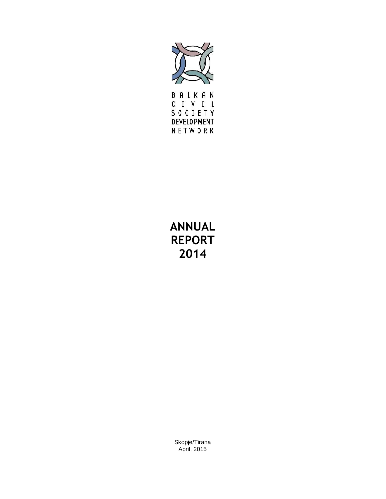

CIVIL SOCIETY DEVELOPMENT NETWORK

# **ANNUAL REPORT 2014**

Skopje/Tirana April, 2015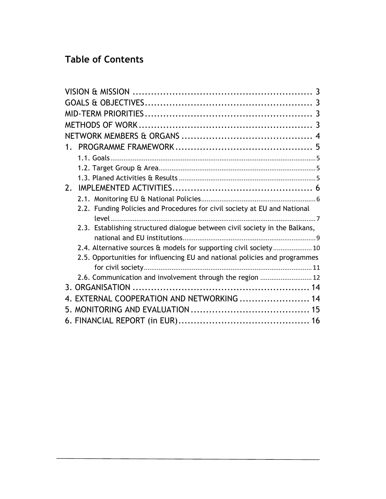# **Table of Contents**

| $1_{\ldots}$                                                                |  |
|-----------------------------------------------------------------------------|--|
|                                                                             |  |
|                                                                             |  |
|                                                                             |  |
| 2.                                                                          |  |
|                                                                             |  |
| 2.2. Funding Policies and Procedures for civil society at EU and National   |  |
| 2.3. Establishing structured dialogue between civil society in the Balkans, |  |
|                                                                             |  |
| 2.4. Alternative sources & models for supporting civil society 10           |  |
| 2.5. Opportunities for influencing EU and national policies and programmes  |  |
|                                                                             |  |
| 2.6. Communication and involvement through the region  12                   |  |
|                                                                             |  |
| 4. EXTERNAL COOPERATION AND NETWORKING  14                                  |  |
|                                                                             |  |
|                                                                             |  |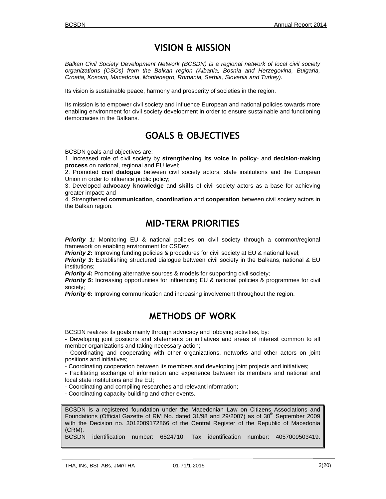### **VISION & MISSION**

*Balkan Civil Society Development Network (BCSDN) is a regional network of local civil society organizations (CSOs) from the Balkan region (Albania, Bosnia and Herzegovina, Bulgaria, Croatia, Kosovo, Macedonia, Montenegro, Romania, Serbia, Slovenia and Turkey).*

Its vision is sustainable peace, harmony and prosperity of societies in the region.

Its mission is to empower civil society and influence European and national policies towards more enabling environment for civil society development in order to ensure sustainable and functioning democracies in the Balkans.

### **GOALS & OBJECTIVES**

BCSDN goals and objectives are:

1. Increased role of civil society by **strengthening its voice in policy**- and **decision-making process** on national, regional and EU level;

2. Promoted **civil dialogue** between civil society actors, state institutions and the European Union in order to influence public policy;

3. Developed **advocacy knowledge** and **skills** of civil society actors as a base for achieving greater impact; and

4. Strengthened **communication**, **coordination** and **cooperation** between civil society actors in the Balkan region.

### **MID-TERM PRIORITIES**

**Priority 1:** Monitoring EU & national policies on civil society through a common/regional framework on enabling environment for CSDev;

*Priority 2*: Improving funding policies & procedures for civil society at EU & national level;

**Priority 3:** Establishing structured dialogue between civil society in the Balkans, national & EU institutions;

**Priority 4:** Promoting alternative sources & models for supporting civil society;

*Priority 5*: Increasing opportunities for influencing EU & national policies & programmes for civil society;

*Priority 6*: Improving communication and increasing involvement throughout the region.

### **METHODS OF WORK**

BCSDN realizes its goals mainly through advocacy and lobbying activities, by:

- Developing joint positions and statements on initiatives and areas of interest common to all member organizations and taking necessary action;

- Coordinating and cooperating with other organizations, networks and other actors on joint positions and initiatives;

- Coordinating cooperation between its members and developing joint projects and initiatives;

- Facilitating exchange of information and experience between its members and national and local state institutions and the EU;

- Coordinating and compiling researches and relevant information;

- Coordinating capacity-building and other events.

BCSDN is a registered foundation under the Macedonian Law on Citizens Associations and Foundations (Official Gazette of RM No. dated  $31/98$  and  $29/2007$ ) as of  $30<sup>th</sup>$  September 2009 with the Decision no. 3012009172866 of the Central Register of the Republic of Macedonia (CRM).

BCSDN identification number: 6524710. Tax identification number: 4057009503419.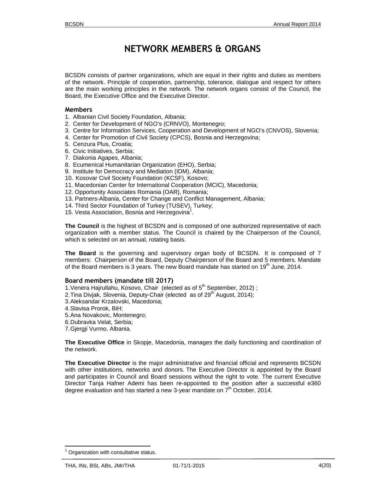## **NETWORK MEMBERS & ORGANS**

BCSDN consists of partner organizations, which are equal in their rights and duties as members of the network. Principle of cooperation, partnership, tolerance, dialogue and respect for others are the main working principles in the network. The network organs consist of the Council, the Board, the Executive Office and the Executive Director.

#### **Members**

- 1. Albanian Civil Society Foundation, Albania;
- 2. Center for Development of NGO's (CRNVO), Montenegro;
- 3. Centre for Information Services, Cooperation and Development of NGO's (CNVOS), Slovenia;
- 4. Center for Promotion of Civil Society (CPCS), Bosnia and Herzegovina;
- 5. Cenzura Plus, Croatia;
- 6. Civic Initiatives, Serbia;
- 7. Diakonia Agapes, Albania;
- 8. Ecumenical Humanitarian Organization (EHO), Serbia;
- 9. Institute for Democracy and Mediation (IDM), Albania;
- 10. Kosovar Civil Society Foundation (KCSF), Kosovo;
- 11. Macedonian Center for International Cooperation (MCIC), Macedonia;
- 12. Opportunity Associates Romania (OAR), Romania;
- 13. Partners-Albania, Center for Change and Conflict Management, Albania;
- 14. Third Sector Foundation of Turkey (TUSEV), Turkey;
- 15. Vesta Association, Bosnia and Herzegovina<sup>1</sup>. .

**The Council** is the highest of BCSDN and is composed of one authorized representative of each organization with member status. The Council is chaired by the Chairperson of the Council, which is selected on an annual, rotating basis.

**The Board** is the governing and supervisory organ body of BCSDN. It is composed of 7 members: Chairperson of the Board, Deputy Chairperson of the Board and 5 members. Mandate of the Board members is 3 years. The new Board mandate has started on 19<sup>th</sup> June, 2014.

#### **Board members (mandate till 2017)**

- 1. Venera Hajrullahu, Kosovo, Chair (elected as of 5<sup>th</sup> September, 2012);
- 2. Tina Divjak, Slovenia, Deputy-Chair (elected as of 29<sup>th</sup> August, 2014);
- 3.Aleksandar Krzalovski, Macedonia;
- 4.Slavisa Prorok, BiH;
- 5.Ana Novakovic, Montenegro;
- 6.Dubravka Velat, Serbia;
- 7.Gjergji Vurmo, Albania.

**The Executive Office** in Skopje, Macedonia, manages the daily functioning and coordination of the network.

**The Executive Director** is the major administrative and financial official and represents BCSDN with other institutions, networks and donors. The Executive Director is appointed by the Board and participates in Council and Board sessions without the right to vote. The current Executive Director Tanja Hafner Ademi has been re-appointed to the position after a successful e360 degree evaluation and has started a new 3-year mandate on  $7<sup>th</sup>$  October, 2014.

<sup>1</sup> Organization with consultative status.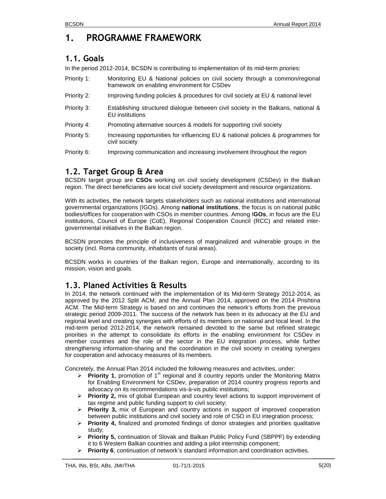# **1. PROGRAMME FRAMEWORK**

### **1.1. Goals**

In the period 2012-2014, BCSDN is contributing to implementation of its mid-term priories:

| Priority 1: | Monitoring EU & National policies on civil society through a common/regional<br>framework on enabling environment for CSDev |
|-------------|-----------------------------------------------------------------------------------------------------------------------------|
| Priority 2: | Improving funding policies & procedures for civil society at EU & national level                                            |
| Priority 3: | Establishing structured dialogue between civil society in the Balkans, national &<br>EU institutions                        |
| Priority 4: | Promoting alternative sources & models for supporting civil society                                                         |
| Priority 5: | Increasing opportunities for influencing EU & national policies & programmes for<br>civil society                           |
| Priority 6: | Improving communication and increasing involvement throughout the region                                                    |

### **1.2. Target Group & Area**

BCSDN target group are **CSOs** working on civil society development (CSDev) in the Balkan region. The direct beneficiaries are local civil society development and resource organizations.

With its activities, the network targets stakeholders such as national institutions and international governmental organizations (IGOs). Among **national institutions**, the focus is on national public bodies/offices for cooperation with CSOs in member countries. Among I**GOs**, in focus are the EU institutions, Council of Europe (CoE), Regional Cooperation Council (RCC) and related inter governmental initiatives in the Balkan region.

BCSDN promotes the principle of inclusiveness of marginalized and vulnerable groups in the society (incl. Roma community, inhabitants of rural areas).

BCSDN works in countries of the Balkan region, Europe and internationally, according to its mission, vision and goals.

### **1.3. Planed Activities & Results**

In 2014, the network continued with the implementation of its Mid-term Strategy 2012-2014, as approved by the 2012 Split ACM, and the Annual Plan 2014, approved on the 2014 Prishtina ACM. The Mid-term Strategy is based on and continues the network's efforts from the previous strategic period 2009-2011. The success of the network has been in its advocacy at the EU and regional level and creating synergies with efforts of its members on national and local level. In the mid-term period 2012-2014, the network remained devoted to the same but refined strategic priorities in the attempt to consolidate its efforts in the enabling environment for CSDev in member countries and the role of the sector in the EU integration process, while further strengthening information-sharing and the coordination in the civil society in creating synergies for cooperation and advocacy measures of its members.

Concretely, the Annual Plan 2014 included the following measures and activities, under:

- **▶ Priority 1**, promotion of 1<sup>st</sup> regional and 8 country reports under the Monitoring Matrix for Enabling Environment for CSDev, preparation of 2014 country progress reports and advocacy on its recommendations vis-à-vis public institutions;
- **Priority 2,** mix of global European and country level actions to support improvement of tax regime and public funding support to civil society;
- **Priority 3,** mix of European and country actions in support of improved cooperation between public institutions and civil society and role of CSO in EU integration process;
- **Priority 4,** finalized and promoted findings of donor strategies and priorities qualitative study;
- **Priority 5,** continuation of Slovak and Balkan Public Policy Fund (SBPPF) by extending it to 6 Western Balkan countries and adding a pilot internship component;
- **Priority 6**, continuation of network's standard information and coordination activities.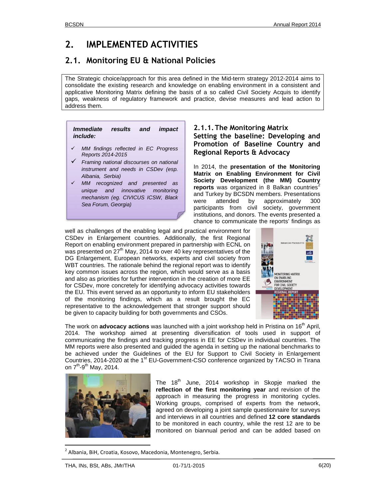# **2. IMPLEMENTED ACTIVITIES**

### **2.1. Monitoring EU & National Policies**

The Strategic choice/approach for this area defined in the Mid-term strategy 2012-2014 aims to consolidate the existing research and knowledge on enabling environment in a consistent and applicative Monitoring Matrix defining the basis of a so called Civil Society Acquis to identify gaps, weakness of regulatory framework and practice, devise measures and lead action to address them.

| Immediate results and |  | impact |  |
|-----------------------|--|--------|--|
| <i>include:</i>       |  |        |  |

- *MM findings reflected in EC Progress Reports 2014-2015*
- *Framing national discourses on national instrument and needs in CSDev (esp. Albania, Serbia)*
- *MM recognized and presented as unique and innovative monitoring mechanism (eg. CIVICUS ICSW, Black Sea Forum, Georgia)*

#### **2.1.1.The Monitoring Matrix Setting the baseline: Developing and Promotion of Baseline Country and Regional Reports & Advocacy**

In 2014, the **presentation of the Monitoring Matrix on Enabling Environment for Civil Society Development (the MM) Country reports** was organized in 8 Balkan countries<sup>2</sup> and Turkey by BCSDN members. Presentations were attended by approximately 300 participants from civil society, government institutions, and donors. The events presented a chance to communicate the reports' findings as

well as challenges of the enabling legal and practical environment for CSDev in Enlargement countries. Additionally, the first Regional Report on enabling environment prepared in partnership with ECNL on was presented on 27<sup>th</sup> May, 2014 to over 40 key representatives of the DG Enlargement, European networks, experts and civil society from WBT countries. The rationale behind the regional report was to identify key common issues across the region, which would serve as a basis Equal also as priorities for further intervention in the creation of more  $\overline{E}$  and also as priorities for further intervention in the creation of more  $\overline{E}$ for CSDev, more concretely for identifying advocacy activities towards the EU. This event served as an opportunity to inform EU stakeholders of the monitoring findings, which as a result brought the EC representative to the acknowledgement that stronger support should be given to capacity building for both governments and CSOs.



The work on **advocacy actions** was launched with a joint workshop held in Pristina on 16<sup>th</sup> April, 2014. The workshop aimed at presenting diversification of tools used in support of communicating the findings and tracking progress in EE for CSDev in individual countries. The MM reports were also presented and guided the agenda in setting up the national benchmarks to be achieved under the Guidelines of the EU for Support to Civil Society in Enlargement Countries, 2014-2020 at the 1<sup>st</sup> EU-Government-CSO conference organized by TACSO in Tirana on 7<sup>th</sup>-9<sup>th</sup> May, 2014.



The  $18<sup>th</sup>$  June, 2014 workshop in Skopje marked the **reflection of the first monitoring year** and revision of the approach in measuring the progress in monitoring cycles. Working groups, comprised of experts from the network, agreed on developing a joint sample questionnaire for surveys and interviews in all countries and defined **12 core standards** to be monitored in each country, while the rest 12 are to be monitored on biannual period and can be added based on

<sup>2</sup> Albania, BiH, Croatia, Kosovo, Macedonia, Montenegro, Serbia.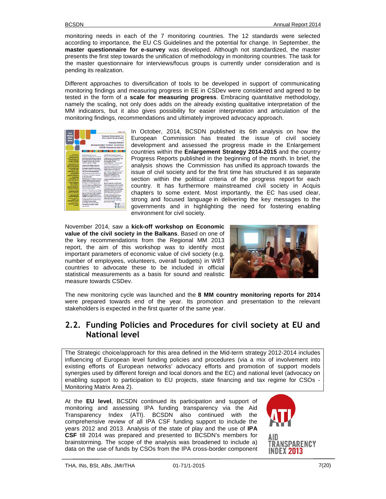monitoring needs in each of the 7 monitoring countries. The 12 standards were selected according to importance, the EU CS Guidelines and the potential for change. In September, the **master questionnaire for e-survey** was developed. Although not standardized, the master presents the first step towards the unification of methodology in monitoring countries. The task for the master questionnaire for interviews/focus groups is currently under consideration and is pending its realization.

Different approaches to diversification of tools to be developed in support of communicating monitoring findings and measuring progress in EE in CSDev were considered and agreed to be tested in the form of a **scale for measuring progress**. Embracing quantitative methodology, namely the scaling, not only does adds on the already existing qualitative interpretation of the MM indicators, but it also gives possibility for easier interpretation and articulation of the monitoring findings, recommendations and ultimately improved advocacy approach.



In October, 2014, BCSDN published its 6th analysis on how the European Commission has treated the issue of civil society development and assessed the progress made in the Enlargement countries within the **Enlargement Strategy 2014-2015** and the country Progress Reports published in the beginning of the month. In brief, the analysis shows the Commission has unified its approach towards the issue of civil society and for the first time has structured it as separate section within the political criteria of the progress report for each country. It has furthermore mainstreamed civil society in Acquis chapters to some extent. Most importantly, the EC has used clear, strong and focused language in delivering the key messages to the governments and in highlighting the need for fostering enabling environment for civil society.

November 2014, saw a **kick-off workshop on Economic value of the civil society in the Balkans**. Based on one of the key recommendations from the Regional MM 2013 report, the aim of this workshop was to identify most important parameters of economic value of civil society (e.g. number of employees, volunteers, overall budgets) in WBT countries to advocate these to be included in official statistical measurements as a basis for sound and realistic measure towards CSDev.



The new monitoring cycle was launched and the **8 MM country monitoring reports for 2014** were prepared towards end of the year. Its promotion and presentation to the relevant stakeholders is expected in the first quarter of the same year.

### **2.2. Funding Policies and Procedures for civil society at EU and National level**

The Strategic choice/approach for this area defined in the Mid-term strategy 2012-2014 includes influencing of European level funding policies and procedures (via a mix of involvement into existing efforts of European networks' advocacy efforts and promotion of support models synergies used by different foreign and local donors and the EC) and national level (advocacy on enabling support to participation to EU projects, state financing and tax regime for CSOs - Monitoring Matrix Area 2).

At the **EU level**, BCSDN continued its participation and support of monitoring and assessing IPA funding transparency via the Aid Transparency Index (ATI). BCSDN also continued with the comprehensive review of all IPA CSF funding support to include the years 2012 and 2013. Analysis of the state of play and the use of **IPA CSF** till 2014 was prepared and presented to BCSDN's members for brainstorming. The scope of the analysis was broadened to include a) **TRANSPARENCY** data on the use of funds by CSOs from the IPA cross-border component

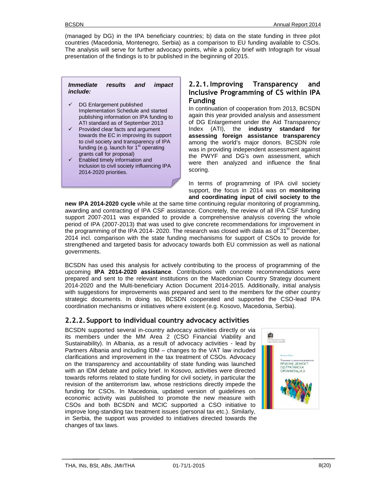(managed by DG) in the IPA beneficiary countries; b) data on the state funding in three pilot countries (Macedonia, Montenegro, Serbia) as a comparison to EU funding available to CSOs. The analysis will serve for further advocacy points, while a policy brief with Infograph for visual presentation of the findings is to br published in the beginning of 2015.

#### *Immediate results and impact include:*

- $\checkmark$  DG Enlargement published Implementation Schedule and started publishing information on IPA funding to ATI standard as of September 2013
- $\checkmark$  Provided clear facts and argument towards the EC in improving its support to civil society and transparency of IPA funding (e.g. launch for  $1<sup>st</sup>$  operating grants call for proposal)
- $\checkmark$  Enabled timely information and inclusion to civil society influencing IPA 2014-2020 priorities.

#### **2.2.1.Improving Transparency and Inclusive Programming of CS within IPA Funding**

In continuation of cooperation from 2013, BCSDN again this year provided analysis and assessment of DG Enlargement under the Aid Transparency Index (ATI), the **industry standard for assessing foreign assistance transparency** among the world's major donors. BCSDN role was in providing independent assessment against the PWYF and DG's own assessment, which were then analyzed and influence the final scoring.

In terms of programming of IPA civil society support, the focus in 2014 was on **monitoring and coordinating input of civil society to the**

**new IPA 2014-2020 cycle** while at the same time continuing regular monitoring of programming, awarding and contracting of IPA CSF assistance. Concretely, the review of all IPA CSF funding support 2007-2011 was expanded to provide a comprehensive analysis covering the whole period of IPA (2007-2013) that was used to give concrete recommendations for improvement in the programming of the IPA 2014- 2020. The research was closed with data as of 31 $^{\rm st}$  December, 2014 incl. comparison with the state funding mechanisms for support of CSOs to provide for strengthened and targeted basis for advocacy towards both EU commission as well as national governments.

BCSDN has used this analysis for actively contributing to the process of programming of the upcoming **IPA 2014-2020 assistance**. Contributions with concrete recommendations were prepared and sent to the relevant institutions on the Macedonian Country Strategy document 2014-2020 and the Multi-beneficiary Action Document 2014-2015. Additionally, initial analysis with suggestions for improvements was prepared and sent to the members for the other country strategic documents. In doing so, BCSDN cooperated and supported the CSO-lead IPA coordination mechanisms or initiatives where existent (e.g. Kosovo, Macedonia, Serbia).

#### **2.2.2. Support to individual country advocacy activities**

BCSDN supported several in-country advocacy activities directly or via its members under the MM Area 2 (CSO Financial Viability and Sustainability). In Albania, as a result of advocacy activities - lead by Partners Albania and including IDM – changes to the VAT law included clarifications and improvement in the tax treatment of CSOs. Advocacy on the transparency and accountability of state funding was launched with an IDM debate and policy brief. In Kosovo, activities were directed towards reforms related to state funding for civil society, in particular the revision of the antiterrorism law, whose restrictions directly impede the funding for CSOs. In Macedonia, updated version of guidelines on economic activity was published to promote the new measure with CSOs and both BCSDN and MCIC supported a CSO initiative to improve long-standing tax treatment issues (personal tax etc.). Similarly, in Serbia, the support was provided to initiatives directed towards the changes of tax laws.

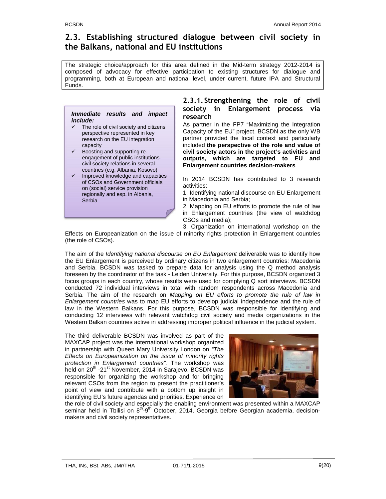### **2.3. Establishing structured dialogue between civil society in the Balkans, national and EU institutions**

The strategic choice/approach for this area defined in the Mid-term strategy 2012-2014 is composed of advocacy for effective participation to existing structures for dialogue and programming, both at European and national level, under current, future IPA and Structural Funds.

#### *Immediate results and impact include:*

- The role of civil society and citizens perspective represented in key research on the EU integration capacity
- Boosting and supporting re engagement of public institutions civil society relations in several countries (e.g. Albania, Kosovo)
- Improved knowledge and capacities of CSOs and Government officials on (social) service provision regionally and esp. in Albania, **Serbia**

#### **2.3.1. Strengthening the role of civil society in Enlargement process via research**

As partner in the FP7 "Maximizing the Integration Capacity of the EU" project, BCSDN as the only WB partner provided the local context and particularly included **the perspective of the role and value of civil society actors in the project's activities and outputs, which are targeted to EU and Enlargement countries decision-makers**.

In 2014 BCSDN has contributed to 3 research activities:

- 1. Identifying national discourse on EU Enlargement in Macedonia and Serbia;
- 2. Mapping on EU efforts to promote the rule of law in Enlargement countries (the view of watchdog CSOs and media);

3. Organization on international workshop on the Effects on Europeanization on the issue of minority rights protection in Enlargement countries (the role of CSOs).

The aim of the *Identifying national discourse on EU Enlargement* deliverable was to identify how the EU Enlargement is perceived by ordinary citizens in two enlargement countries: Macedonia and Serbia. BCSDN was tasked to prepare data for analysis using the Q method analysis foreseen by the coordinator of the task - Leiden University. For this purpose, BCSDN organized 3 focus groups in each country, whose results were used for complying Q sort interviews. BCSDN conducted 72 individual interviews in total with random respondents across Macedonia and Serbia. The aim of the research on *Mapping on EU efforts to promote the rule of law in Enlargement countries* was to map EU efforts to develop judicial independence and the rule of law in the Western Balkans. For this purpose, BCSDN was responsible for identifying and conducting 12 interviews with relevant watchdog civil society and media organizations in the Western Balkan countries active in addressing improper political influence in the judicial system.

The third deliverable BCSDN was involved as part of the MAXCAP project was the international workshop organized in partnership with Queen Mary University London on *"The Effects on Europeanization on the issue of minority rights protection in Enlargement countries".* The workshop was held on 20<sup>th</sup> -21<sup>st</sup> November, 2014 in Sarajevo. BCSDN was responsible for organizing the workshop and for bringing relevant CSOs from the region to present the practitioner's point of view and contribute with a bottom up insight in identifying EU's future agendas and priorities. Experience on



the role of civil society and especially the enabling environment was presented within a MAXCAP seminar held in Tbilisi on 8<sup>th</sup>-9<sup>th</sup> October, 2014, Georgia before Georgian academia, decisionmakers and civil society representatives.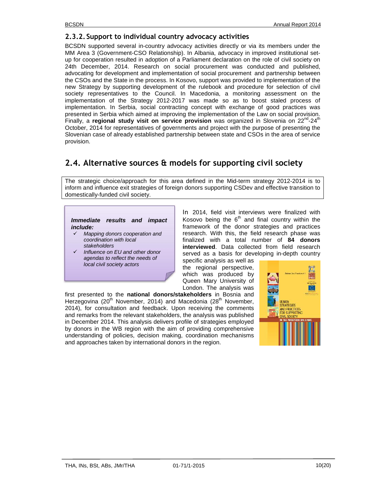#### **2.3.2. Support to individual country advocacy activities**

BCSDN supported several in-country advocacy activities directly or via its members under the MM Area 3 (Government-CSO Relationship). In Albania, advocacy in improved institutional set up for cooperation resulted in adoption of a Parliament declaration on the role of civil society on 24th December, 2014. Research on social procurement was conducted and published, advocating for development and implementation of social procurement and partnership between the CSOs and the State in the process. In Kosovo, support was provided to implementation of the new Strategy by supporting development of the rulebook and procedure for selection of civil society representatives to the Council. In Macedonia, a monitoring assessment on the implementation of the Strategy 2012-2017 was made so as to boost staled process of implementation. In Serbia, social contracting concept with exchange of good practices was presented in Serbia which aimed at improving the implementation of the Law on social provision. Finally, a regional study visit on service provision was organized in Slovenia on 22<sup>nd</sup>-24<sup>th</sup> October, 2014 for representatives of governments and project with the purpose of presenting the Slovenian case of already established partnership between state and CSOs in the area of service provision.

### **2.4. Alternative sources & models for supporting civil society**

The strategic choice/approach for this area defined in the Mid-term strategy 2012-2014 is to inform and influence exit strategies of foreign donors supporting CSDev and effective transition to domestically-funded civil society.

#### *Immediate results and impact include:*

- *Mapping donors cooperation and coordination with local stakeholders*
- *Influence on EU and other donor agendas to reflect the needs of local civil society actors*

In 2014, field visit interviews were finalized with Kosovo being the  $6<sup>th</sup>$  and final country within the framework of the donor strategies and practices research. With this, the field research phase was finalized with a total number of **84 donors interviewed**. Data collected from field research served as a basis for developing in-depth country

specific analysis as well as the regional perspective, which was produced by Queen Mary University of London. The analysis was

first presented to the **national donors/stakeholders** in Bosnia and Herzegovina (20<sup>th</sup> November, 2014) and Macedonia (28<sup>th</sup> November, 2014), for consultation and feedback. Upon receiving the comments and remarks from the relevant stakeholders, the analysis was published in December 2014. This analysis delivers profile of strategies employed by donors in the WB region with the aim of providing comprehensive understanding of policies, decision making, coordination mechanisms and approaches taken by international donors in the region.

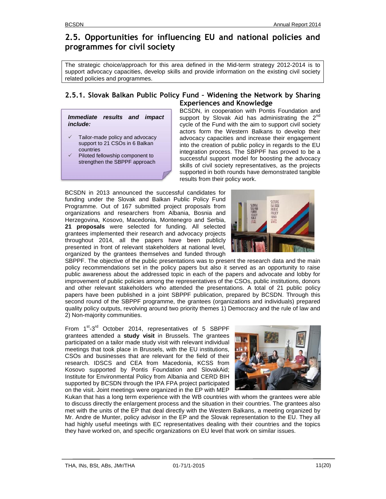### **2.5. Opportunities for influencing EU and national policies and programmes for civil society**

The strategic choice/approach for this area defined in the Mid-term strategy 2012-2014 is to support advocacy capacities, develop skills and provide information on the existing civil society related policies and programmes.

#### **2.5.1. Slovak Balkan Public Policy Fund – Widening the Network by Sharing Experiences and Knowledge**

*Immediate results and impact include:*

- $\checkmark$  Tailor-made policy and advocacy support to 21 CSOs in 6 Balkan countries
- Piloted fellowship component to strengthen the SBPPF approach

BCSDN, in cooperation with Pontis Foundation and support by Slovak Aid has administrating the 2<sup>nd</sup> cycle of the Fund with the aim to support civil society actors form the Western Balkans to develop their advocacy capacities and increase their engagement into the creation of public policy in regards to the EU integration process. The SBPPF has proved to be a successful support model for boosting the advocacy skills of civil society representatives, as the projects supported in both rounds have demonstrated tangible results from their policy work.

BCSDN in 2013 announced the successful candidates for funding under the Slovak and Balkan Public Policy Fund Programme. Out of 167 submitted project proposals from organizations and researchers from Albania, Bosnia and Herzegovina, Kosovo, Macedonia, Montenegro and Serbia, **21 proposals** were selected for funding. All selected grantees implemented their research and advocacy projects throughout 2014, all the papers have been publicly presented in front of relevant stakeholders at national level, organized by the grantees themselves and funded through



SBPPF. The objective of the public presentations was to present the research data and the main policy recommendations set in the policy papers but also it served as an opportunity to raise public awareness about the addressed topic in each of the papers and advocate and lobby for improvement of public policies among the representatives of the CSOs, public institutions, donors and other relevant stakeholders who attended the presentations. A total of 21 public policy papers have been published in a joint SBPPF publication, prepared by BCSDN. Through this second round of the SBPPF programme, the grantees (organizations and individuals) prepared quality policy outputs, revolving around two priority themes 1) Democracy and the rule of law and 2) Non-majority communities.

From 1<sup>st</sup>-3<sup>rd</sup> October 2014, representatives of 5 SBPPF grantees attended a **study visit** in Brussels. The grantees participated on a tailor made study visit with relevant individual meetings that took place in Brussels, with the EU institutions, CSOs and businesses that are relevant for the field of their research. IDSCS and CEA from Macedonia, KCSS from Kosovo supported by Pontis Foundation and SlovakAid; Institute for Environmental Policy from Albania and CERD BIH supported by BCSDN through the IPA FPA project participated on the visit. Joint meetings were organized in the EP with MEP



Kukan that has a long term experience with the WB countries with whom the grantees were able to discuss directly the enlargement process and the situation in their countries. The grantees also met with the units of the EP that deal directly with the Western Balkans, a meeting organized by Mr. Andre de Munter, policy advisor in the EP and the Slovak representation to the EU. They all had highly useful meetings with EC representatives dealing with their countries and the topics they have worked on, and specific organizations on EU level that work on similar issues.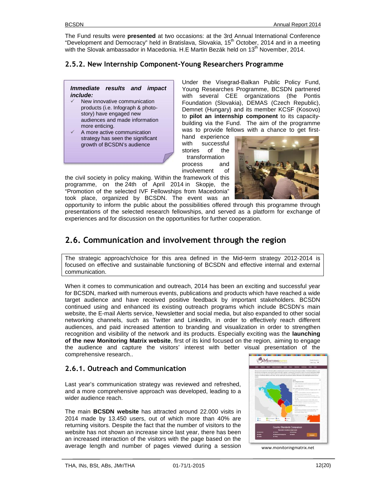The Fund results were **presented** at two occasions: at the 3rd Annual International Conference "Development and Democracy" held in Bratislava, Slovakia, 15<sup>th</sup> October, 2014 and in a meeting with the Slovak ambassador in Macedonia. H.E Martin Bezák held on 13<sup>th</sup> November, 2014.

### **2.5.2. New Internship Component-Young Researchers Programme**

#### *Immediate results and impact include:*

- New innovative communication products (i.e. Infograph & photo story) have engaged new audiences and made information more enticing.
- A more active communication strategy has seen the significant growth of BCSDN's audience

Under the Visegrad-Balkan Public Policy Fund, Young Researches Programme, BCSDN partnered with several CEE organizations (the Pontis Foundation (Slovakia), DEMAS (Czech Republic), Demnet (Hungary) and its member KCSF (Kosovo) to **pilot an internship component** to its capacity building via the Fund. The aim of the programme was to provide fellows with a chance to get first-

hand experience with successful stories of the transformation

process and involvement of



the civil society in policy making. Within the framework of this programme, on the 24th of April 2014 in Skopje, the "Promotion of the selected IVF Fellowships from Macedonia" took place, organized by BCSDN. The event was an

opportunity to inform the public about the possibilities offered through this programme through presentations of the selected research fellowships, and served as a platform for exchange of experiences and for discussion on the opportunities for further cooperation.

### **2.6. Communication and involvement through the region**

The strategic approach/choice for this area defined in the Mid-term strategy 2012-2014 is focused on effective and sustainable functioning of BCSDN and effective internal and external communication.

When it comes to communication and outreach, 2014 has been an exciting and successful year for BCSDN, marked with numerous events, publications and products which have reached a wide target audience and have received positive feedback by important stakeholders. BCSDN continued using and enhanced its existing outreach programs which include BCSDN's main website, the E-mail Alerts service, Newsletter and social media, but also expanded to other social networking channels, such as Twitter and LinkedIn, in order to effectively reach different audiences, and paid increased attention to branding and visualization in order to strengthen recognition and visibility of the network and its products. Especially exciting was the **launching of the new Monitoring Matrix website**, first of its kind focused on the region, aiming to engage the audience and capture the visitors' interest with better visual presentation of the comprehensive research..

#### **2.6.1. Outreach and Communication**

Last year's communication strategy was reviewed and refreshed, and a more comprehensive approach was developed, leading to a wider audience reach.

The main **BCSDN website** has attracted around 22.000 visits in 2014 made by 13.450 users, out of which more than 40% are returning visitors. Despite the fact that the number of visitors to the website has not shown an increase since last year, there has been an increased interaction of the visitors with the page based on the average length and number of pages viewed during a session



www.monitoringmatrix.net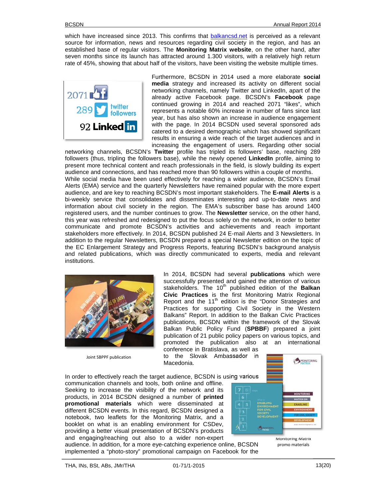which have increased since 2013. This confirms that balkancsd.net is perceived as a relevant source for information, news and resources regarding civil society in the region, and has an established base of regular visitors. The **Monitoring Matrix website**, on the other hand, after seven months since its launch has attracted around 1.300 visitors, with a relatively high return rate of 45%, showing that about half of the visitors, have been visiting the website multiple times.



Furthermore, BCSDN in 2014 used a more elaborate **social media** strategy and increased its activity on different social networking channels, namely Twitter and LinkedIn, apart of the already active Facebook page. BCSDN's **Facebook** page continued growing in 2014 and reached 2071 "likes", which represents a notable 60% increase in number of fans since last year, but has also shown an increase in audience engagement with the page. In 2014 BCSDN used several sponsored ads catered to a desired demographic which has showed significant results in ensuring a wide reach of the target audiences and in increasing the engagement of users. Regarding other social

networking channels, BCSDN's **Twitter** profile has tripled its followers' base, reaching 289 followers (thus, tripling the followers base), while the newly opened **LinkedIn** profile, aiming to present more technical content and reach professionals in the field, is slowly building its expert audience and connections, and has reached more than 90 followers within a couple of months. While social media have been used effectively for reaching a wider audience, BCSDN's Email Alerts (EMA) service and the quarterly Newsletters have remained popular with the more expert audience, and are key to reaching BCSDN's most important stakeholders. The **E-mail Alerts** is a bi-weekly service that consolidates and disseminates interesting and up-to-date news and information about civil society in the region. The EMA's subscriber base has around 1400 registered users, and the number continues to grow. The **Newsletter** service, on the other hand, this year was refreshed and redesigned to put the focus solely on the network, in order to better communicate and promote BCSDN's activities and achievements and reach important stakeholders more effectively. In 2014, BCSDN published 24 E-mail Alerts and 3 Newsletters. In addition to the regular Newsletters, BCSDN prepared a special Newsletter edition on the topic of the EC Enlargement Strategy and Progress Reports, featuring BCSDN's background analysis and related publications, which was directly communicated to experts, media and relevant institutions.



Joint SBPPF publication

In 2014, BCSDN had several **publications** which were successfully presented and gained the attention of various stakeholders. The 10<sup>th</sup> published edition of the **Balkan Civic Practices** is the first Monitoring Matrix Regional Report and the 11<sup>th</sup> edition is the "Donor Strategies and Practices for supporting Civil Society in the Western Balkans" Report. In addition to the Balkan Civic Practices publications, BCSDN within the framework of the Slovak Balkan Public Policy Fund (**SPBBF**) prepared a joint publication of 21 public policy papers on various topics, and promoted the publication also at an international conference in Bratislava, as well as

to the Slovak Ambassador in Macedonia.

In order to effectively reach the target audience, BCSDN is using various communication channels and tools, both online and offline. Seeking to increase the visibility of the network and its products, in 2014 BCSDN designed a number of **printed promotional materials** which were disseminated at different BCSDN events. In this regard, BCSDN designed a notebook, two leaflets for the Monitoring Matrix, and a booklet on what is an enabling environment for CSDev, providing a better visual presentation of BCSDN's products and engaging/reaching out also to a wider non-expert



audience. In addition, for a more eye-catching experience online, BCSDN implemented a "photo-story" promotional campaign on Facebook for the Monitoring Matrix promo materials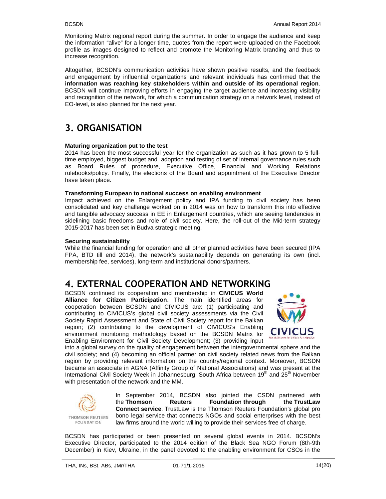Monitoring Matrix regional report during the summer. In order to engage the audience and keep the information "alive" for a longer time, quotes from the report were uploaded on the Facebook profile as images designed to reflect and promote the Monitoring Matrix branding and thus to increase recognition.

Altogether, BCSDN's communication activities have shown positive results, and the feedback and engagement by influential organizations and relevant individuals has confirmed that the **information was reaching key stakeholders within and outside of its operational region**. BCSDN will continue improving efforts in engaging the target audience and increasing visibility and recognition of the network, for which a communication strategy on a network level, instead of EO-level, is also planned for the next year.

# **3. ORGANISATION**

#### **Maturing organization put to the test**

2014 has been the most successful year for the organization as such as it has grown to 5 fulltime employed, biggest budget and adoption and testing of set of internal governance rules such as Board Rules of procedure, Executive Office, Financial and Working Relations rulebooks/policy. Finally, the elections of the Board and appointment of the Executive Director have taken place.

#### **Transforming European to national success on enabling environment**

Impact achieved on the Enlargement policy and IPA funding to civil society has been consolidated and key challenge worked on in 2014 was on how to transform this into effective and tangible advocacy success in EE in Enlargement countries, which are seeing tendencies in sidelining basic freedoms and role of civil society. Here, the roll-out of the Mid-term strategy 2015-2017 has been set in Budva strategic meeting.

#### **Securing sustainability**

While the financial funding for operation and all other planned activities have been secured (IPA FPA, BTD till end 2014), the network's sustainability depends on generating its own (incl. membership fee, services), long-term and institutional donors/partners.

### **4. EXTERNAL COOPERATION AND NETWORKING**

BCSDN continued its cooperation and membership in **CIVICUS World Alliance for Citizen Participation**. The main identified areas for cooperation between BCSDN and CIVICUS are: (1) participating and contributing to CIVICUS's global civil society assessments via the Civil Society Rapid Assessment and State of Civil Society report for the Balkan region; (2) contributing to the development of CIVICUS's Enabling<br>continential menitoring methodology based on the BCSDN Matrix for CIVICUS environment monitoring methodology based on the BCSDN Matrix for Enabling Environment for Civil Society Development; (3) providing input



into a global survey on the quality of engagement between the intergovernmental sphere and the civil society; and (4) becoming an official partner on civil society related news from the Balkan region by providing relevant information on the country/regional context. Moreover, BCSDN became an associate in AGNA (Affinity Group of National Associations) and was present at the International Civil Society Week in Johannesburg, South Africa between 19<sup>th</sup> and 25<sup>th</sup> November with presentation of the network and the MM.



**FOUNDATION** 

In September 2014, BCSDN also jointed the CSDN partnered with the **Thomson Reuters Foundation through the TrustLaw Connect service**. TrustLaw is the Thomson Reuters Foundation's global pro bono legal service that connects NGOs and social enterprises with the best law firms around the world willing to provide their services free of charge.

BCSDN has participated or been presented on several global events in 2014. BCSDN's Executive Director, participated to the 2014 edition of the Black Sea NGO Forum (8th-9th December) in Kiev, Ukraine, in the panel devoted to the enabling environment for CSOs in the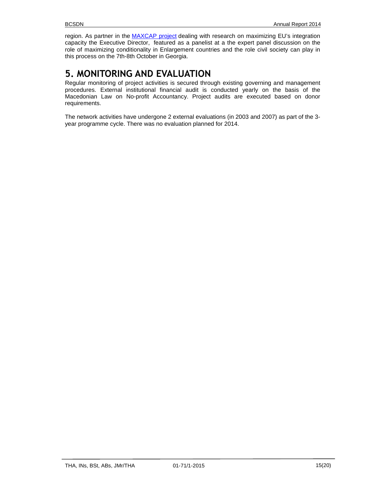region. As partner in the MAXCAP project dealing with research on maximizing EU's integration capacity the Executive Director, featured as a panelist at a the expert panel discussion on the role of maximizing conditionality in Enlargement countries and the role civil society can play in this process on the 7th-8th October in Georgia.

# **5. MONITORING AND EVALUATION**

Regular monitoring of project activities is secured through existing governing and management procedures. External institutional financial audit is conducted yearly on the basis of the Macedonian Law on No-profit Accountancy. Project audits are executed based on donor requirements.

The network activities have undergone 2 external evaluations (in 2003 and 2007) as part of the 3 year programme cycle. There was no evaluation planned for 2014.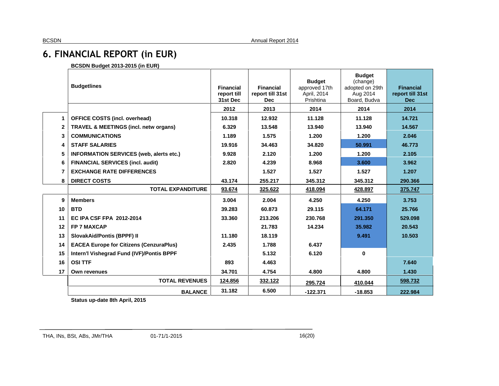# **6. FINANCIAL REPORT (in EUR)**

**BCSDN Budget 2013-2015 (in EUR)**

|                | <b>Budgetlines</b>                               | <b>Financial</b><br>report till<br>31st Dec<br>2012 | <b>Financial</b><br>report till 31st<br><b>Dec</b><br>2013 | <b>Budget</b><br>approved 17th<br>April, 2014<br>Prishtina<br>2014 | <b>Budget</b><br>(change)<br>adopted on 29th<br>Aug 2014<br>Board, Budva<br>2014 | <b>Financial</b><br>report till 31st<br><b>Dec</b><br>2014 |
|----------------|--------------------------------------------------|-----------------------------------------------------|------------------------------------------------------------|--------------------------------------------------------------------|----------------------------------------------------------------------------------|------------------------------------------------------------|
|                |                                                  |                                                     |                                                            | 11.128                                                             | 11.128                                                                           | 14.721                                                     |
| 1              | <b>OFFICE COSTS (incl. overhead)</b>             | 10.318                                              | 12.932                                                     |                                                                    |                                                                                  |                                                            |
| $\mathbf{2}$   | <b>TRAVEL &amp; MEETINGS (incl. netw organs)</b> | 6.329                                               | 13.548                                                     | 13.940                                                             | 13.940                                                                           | 14.567                                                     |
| 3              | <b>COMMUNICATIONS</b>                            | 1.189                                               | 1.575                                                      | 1.200                                                              | 1.200                                                                            | 2.046                                                      |
| 4              | <b>STAFF SALARIES</b>                            | 19.916                                              | 34.463                                                     | 34.820                                                             | 50.991                                                                           | 46.773                                                     |
| 5              | <b>INFORMATION SERVICES (web, alerts etc.)</b>   | 9.928                                               | 2.120                                                      | 1.200                                                              | 1.200                                                                            | 2.105                                                      |
| 6              | <b>FINANCIAL SERVICES (incl. audit)</b>          | 2.820                                               | 4.239                                                      | 8.968                                                              | 3.600                                                                            | 3.962                                                      |
| $\overline{7}$ | <b>EXCHANGE RATE DIFFERENCES</b>                 |                                                     | 1.527                                                      | 1.527                                                              | 1.527                                                                            | 1.207                                                      |
| 8              | <b>DIRECT COSTS</b>                              | 43.174                                              | 255.217                                                    | 345.312                                                            | 345.312                                                                          | 290.366                                                    |
|                | <b>TOTAL EXPANDITURE</b>                         | 93.674                                              | 325.622                                                    | 418.094                                                            | 428.897                                                                          | 375.747                                                    |
| 9              | <b>Members</b>                                   | 3.004                                               | 2.004                                                      | 4.250                                                              | 4.250                                                                            | 3.753                                                      |
| 10             | <b>BTD</b>                                       | 39.283                                              | 60.873                                                     | 29.115                                                             | 64.171                                                                           | 25.766                                                     |
| 11             | <b>EC IPA CSF FPA 2012-2014</b>                  | 33.360                                              | 213.206                                                    | 230.768                                                            | 291.350                                                                          | 529.098                                                    |
| 12             | <b>FP 7 MAXCAP</b>                               |                                                     | 21.783                                                     | 14.234                                                             | 35.982                                                                           | 20.543                                                     |
| 13             | <b>SlovakAid/Pontis (BPPF) II</b>                | 11.180                                              | 18.119                                                     |                                                                    | 9.491                                                                            | 10.503                                                     |
| 14             | <b>EACEA Europe for Citizens (CenzuraPlus)</b>   | 2.435                                               | 1.788                                                      | 6.437                                                              |                                                                                  |                                                            |
| 15             | Intern'l Vishegrad Fund (IVF)/Pontis BPPF        |                                                     | 5.132                                                      | 6.120                                                              | $\mathbf{0}$                                                                     |                                                            |
| 16             | <b>OSI TTF</b>                                   | 893                                                 | 4.463                                                      |                                                                    |                                                                                  | 7.640                                                      |
| 17             | <b>Own revenues</b>                              | 34.701                                              | 4.754                                                      | 4.800                                                              | 4.800                                                                            | 1.430                                                      |
|                | <b>TOTAL REVENUES</b>                            | 124.856                                             | 332.122                                                    | 295.724                                                            | 410.044                                                                          | 598.732                                                    |
|                | <b>BALANCE</b>                                   | 31.182                                              | 6.500                                                      | $-122.371$                                                         | $-18.853$                                                                        | 222.984                                                    |

**Status up-date 8th April, 2015**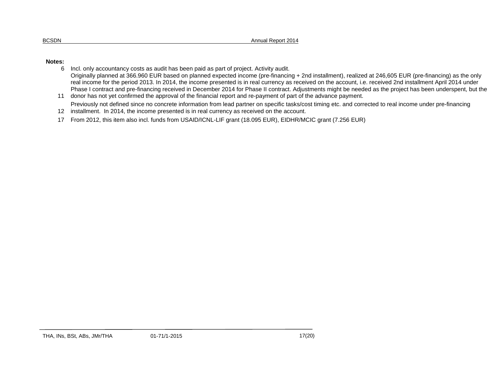#### **Notes:**

- 6 Incl. only accountancy costs as audit has been paid as part of project. Activity audit. Originally planned at 366.960 EUR based on planned expected income (pre-financing + 2nd installment), realized at 246,605 EUR (pre-financing) as the only real income for the period 2013. In 2014, the income presented is in real currency as received on the account, i.e. received 2nd installment April 2014 under Phase I contract and pre-financing received in December 2014 for Phase II contract. Adjustments might be needed as the project has been underspent, but the
- 11 donor has not yet confirmed the approval of the financial report and re-payment of part of the advance payment. Previously not defined since no concrete information from lead partner on specific tasks/cost timing etc. and corrected to real income under pre-financing
- 12 installment. In 2014, the income presented is in real currency as received on the account.
- 17 From 2012, this item also incl. funds from USAID/ICNL-LIF grant (18.095 EUR), EIDHR/MCIC grant (7.256 EUR)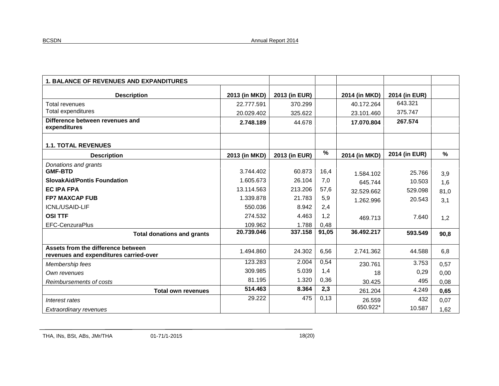| <b>1. BALANCE OF REVENUES AND EXPANDITURES</b>                               |               |               |       |               |               |      |
|------------------------------------------------------------------------------|---------------|---------------|-------|---------------|---------------|------|
| <b>Description</b>                                                           | 2013 (in MKD) | 2013 (in EUR) |       | 2014 (in MKD) | 2014 (in EUR) |      |
| Total revenues                                                               | 22.777.591    | 370.299       |       | 40.172.264    | 643.321       |      |
| Total expenditures                                                           | 20.029.402    | 325.622       |       | 23.101.460    | 375.747       |      |
| Difference between revenues and<br>expenditures                              | 2.748.189     | 44.678        |       | 17.070.804    | 267.574       |      |
| <b>1.1. TOTAL REVENUES</b>                                                   |               |               |       |               |               |      |
| <b>Description</b>                                                           | 2013 (in MKD) | 2013 (in EUR) | %     | 2014 (in MKD) | 2014 (in EUR) | %    |
| Donations and grants                                                         |               |               |       |               |               |      |
| <b>GMF-BTD</b>                                                               | 3.744.402     | 60.873        | 16,4  | 1.584.102     | 25.766        | 3,9  |
| <b>SlovakAid/Pontis Foundation</b>                                           | 1.605.673     | 26.104        | 7,0   | 645.744       | 10.503        | 1,6  |
| <b>EC IPA FPA</b>                                                            | 13.114.563    | 213.206       | 57,6  | 32.529.662    | 529.098       | 81,0 |
| <b>FP7 MAXCAP FUB</b>                                                        | 1.339.878     | 21.783        | 5,9   | 1.262.996     | 20.543        | 3,1  |
| ICNL/USAID-LIF                                                               | 550.036       | 8.942         | 2,4   |               |               |      |
| <b>OSI TTF</b>                                                               | 274.532       | 4.463         | 1,2   | 469.713       | 7.640         | 1,2  |
| <b>EFC-CenzuraPlus</b>                                                       | 109.962       | 1.788         | 0,48  |               |               |      |
| <b>Total donations and grants</b>                                            | 20.739.046    | 337.158       | 91,05 | 36.492.217    | 593.549       | 90,8 |
| Assets from the difference between<br>revenues and expenditures carried-over | 1.494.860     | 24.302        | 6,56  | 2.741.362     | 44.588        | 6,8  |
| Membership fees                                                              | 123.283       | 2.004         | 0,54  | 230.761       | 3.753         | 0,57 |
| Own revenues                                                                 | 309.985       | 5.039         | 1,4   | 18            | 0,29          | 0,00 |
| Reimbursements of costs                                                      | 81.195        | 1.320         | 0,36  | 30.425        | 495           | 0,08 |
| <b>Total own revenues</b>                                                    | 514.463       | 8.364         | 2,3   | 261.204       | 4.249         | 0,65 |
| Interest rates                                                               | 29.222        | 475           | 0,13  | 26.559        | 432           | 0,07 |
| Extraordinary revenues                                                       |               |               |       | 650.922*      | 10.587        | 1,62 |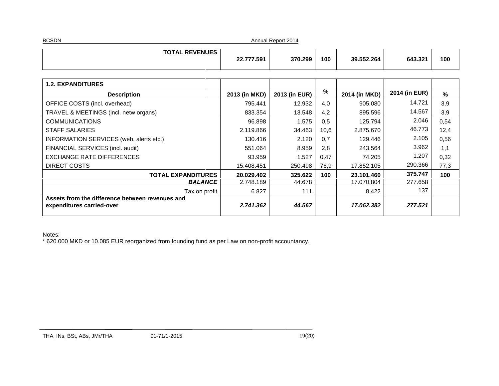| <b>BCSDN</b><br>Annual Report 2014 |            |         |     |            |         |     |  |
|------------------------------------|------------|---------|-----|------------|---------|-----|--|
| <b>TOTAL REVENUES</b>              | 22.777.591 | 370.299 | 100 | 39.552.264 | 643.321 | 100 |  |

| 2013 (in MKD)                           | 2013 (in EUR) |      | 2014 (in MKD) | 2014 (in EUR) | %    |
|-----------------------------------------|---------------|------|---------------|---------------|------|
| 795.441                                 | 12.932        | 4,0  | 905.080       | 14.721        | 3,9  |
| 833.354                                 | 13.548        | 4,2  | 895.596       | 14.567        | 3,9  |
| 96.898                                  | 1.575         | 0,5  | 125.794       | 2.046         | 0,54 |
| 2.119.866                               | 34.463        | 10,6 | 2.875.670     | 46.773        | 12,4 |
| 130.416                                 | 2.120         | 0,7  | 129.446       | 2.105         | 0,56 |
| 551.064                                 | 8.959         | 2,8  | 243.564       | 3.962         | 1,1  |
| 93.959                                  | 1.527         | 0,47 | 74.205        | 1.207         | 0,32 |
| 15.408.451                              | 250.498       | 76.9 | 17.852.105    | 290.366       | 77,3 |
| <b>TOTAL EXPANDITURES</b><br>20.029.402 | 325.622       | 100  | 23.101.460    | 375.747       | 100  |
| <b>BALANCE</b><br>2.748.189             | 44.678        |      | 17.070.804    | 277.658       |      |
| 6.827<br>Tax on profit                  | 111           |      | 8.422         | 137           |      |
| 2.741.362                               | 44.567        |      | 17.062.382    | 277.521       |      |
|                                         |               |      | %             |               |      |

Notes:

\* 620.000 MKD or 10.085 EUR reorganized from founding fund as per Law on non-profit accountancy.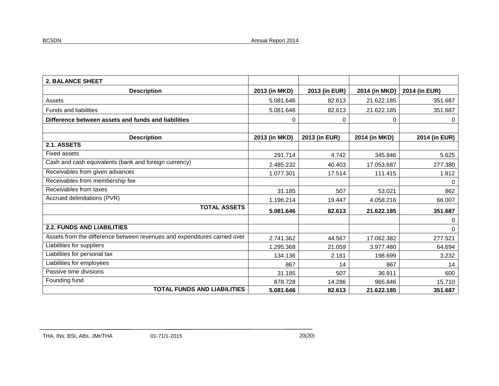| <b>2. BALANCE SHEET</b>                                                   |               |               |               |               |
|---------------------------------------------------------------------------|---------------|---------------|---------------|---------------|
| <b>Description</b>                                                        | 2013 (in MKD) | 2013 (in EUR) | 2014 (in MKD) | 2014 (in EUR) |
| Assets                                                                    | 5.081.646     | 82.613        | 21.622.185    | 351.687       |
| <b>Funds and liabilities</b>                                              | 5.081.646     | 82.613        | 21.622.185    | 351.687       |
| Difference between assets and funds and liabilities                       | 0             | 0             | 0             | 0             |
| <b>Description</b>                                                        | 2013 (in MKD) | 2013 (in EUR) | 2014 (in MKD) | 2014 (in EUR) |
| 2.1. ASSETS                                                               |               |               |               |               |
| <b>Fixed assets</b>                                                       | 291.714       | 4.742         | 345.846       | 5.625         |
| Cash and cash equivalents (bank and foreign currency)                     | 2.485.232     | 40.403        | 17.053.687    | 277.380       |
| Receivables from given advances                                           | 1.077.301     | 17.514        | 111.415       | 1.812         |
| Receivables from membership fee                                           |               |               |               | 0             |
| Receivables from taxes                                                    | 31.185        | 507           | 53.021        | 862           |
| Accrued delimitations (PVR)                                               | 1.196.214     | 19.447        | 4.058.216     | 66.007        |
| <b>TOTAL ASSETS</b>                                                       | 5.081.646     | 82.613        | 21.622.185    | 351.687       |
|                                                                           |               |               |               | 0             |
| <b>2.2. FUNDS AND LIABILITIES</b>                                         |               |               |               | 0             |
| Assets from the difference between revenues and expenditures carried over | 2.741.362     | 44.567        | 17.062.382    | 277.521       |
| Liabilities for suppliers                                                 | 1.295.368     | 21.059        | 3.977.480     | 64.694        |
| Liabilities for personal tax                                              | 134.136       | 2.181         | 198.699       | 3.232         |
| Liabilities for employees                                                 | 867           | 14            | 867           | 14            |
| Passive time divisions                                                    | 31.185        | 507           | 36.911        | 600           |
| Founding fund                                                             | 878.728       | 14.286        | 965.846       | 15.710        |
| <b>TOTAL FUNDS AND LIABILITIES</b>                                        | 5.081.646     | 82.613        | 21.622.185    | 351.687       |